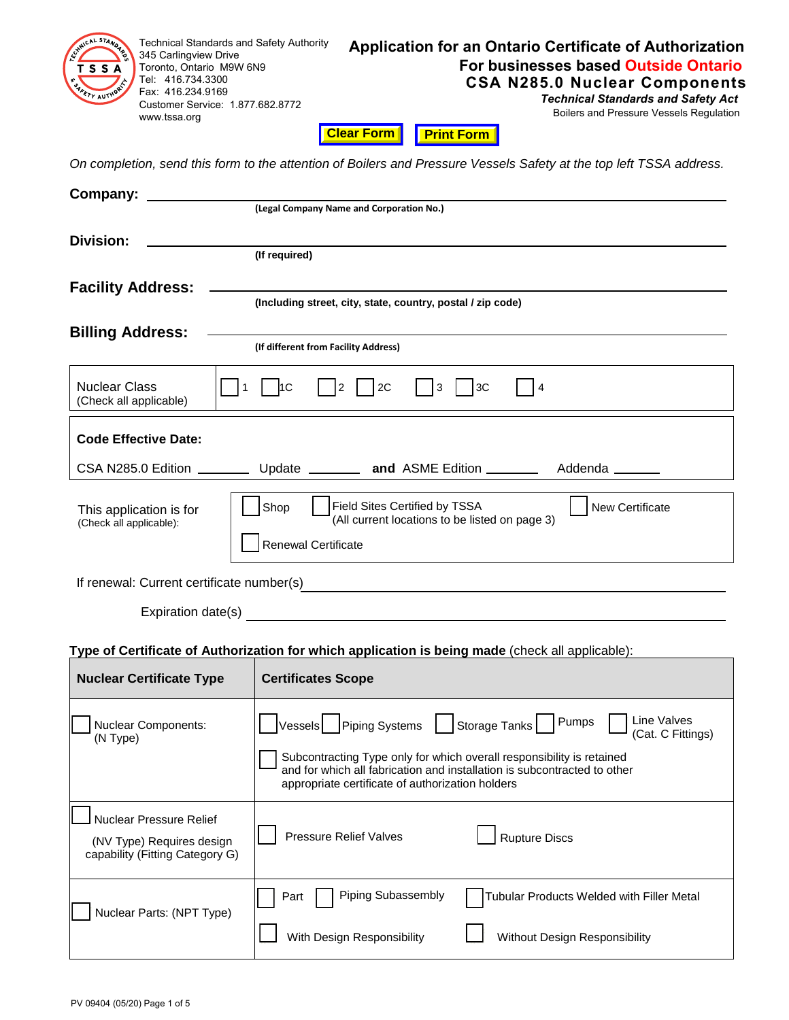| <b>Technical Standards and Safety Authority</b><br>345 Carlingview Drive<br>Toronto, Ontario M9W 6N9<br>гss<br>Tel: 416.734.3300<br>Fax: 416.234.9169<br>Customer Service: 1.877.682.8772<br>www.tssa.org | <b>Application for an Ontario Certificate of Authorization</b><br>For businesses based Outside Ontario<br><b>CSA N285.0 Nuclear Components</b><br><b>Technical Standards and Safety Act</b><br>Boilers and Pressure Vessels Regulation<br><b>Clear Form</b><br><b>Print Form</b>                 |
|-----------------------------------------------------------------------------------------------------------------------------------------------------------------------------------------------------------|--------------------------------------------------------------------------------------------------------------------------------------------------------------------------------------------------------------------------------------------------------------------------------------------------|
|                                                                                                                                                                                                           | On completion, send this form to the attention of Boilers and Pressure Vessels Safety at the top left TSSA address.                                                                                                                                                                              |
| Company:                                                                                                                                                                                                  | (Legal Company Name and Corporation No.)                                                                                                                                                                                                                                                         |
| Division:                                                                                                                                                                                                 | (If required)                                                                                                                                                                                                                                                                                    |
| <b>Facility Address:</b>                                                                                                                                                                                  | (Including street, city, state, country, postal / zip code)                                                                                                                                                                                                                                      |
| <b>Billing Address:</b>                                                                                                                                                                                   | (If different from Facility Address)                                                                                                                                                                                                                                                             |
| <b>Nuclear Class</b><br>$\mathbf{1}$<br>(Check all applicable)                                                                                                                                            | $\vert$  2<br>2C<br>$\vert$ <sub>3</sub><br>11C<br> 3C<br>$\overline{4}$                                                                                                                                                                                                                         |
| <b>Code Effective Date:</b>                                                                                                                                                                               |                                                                                                                                                                                                                                                                                                  |
|                                                                                                                                                                                                           | CSA N285.0 Edition _____________ Update ____________ and ASME Edition _________<br>Addenda ______                                                                                                                                                                                                |
| This application is for<br>(Check all applicable):                                                                                                                                                        | <b>New Certificate</b><br>Shop<br>Field Sites Certified by TSSA<br>(All current locations to be listed on page 3)<br><b>Renewal Certificate</b>                                                                                                                                                  |
| If renewal: Current certificate number(s)                                                                                                                                                                 |                                                                                                                                                                                                                                                                                                  |
| Expiration date(s)                                                                                                                                                                                        |                                                                                                                                                                                                                                                                                                  |
|                                                                                                                                                                                                           | Type of Certificate of Authorization for which application is being made (check all applicable):                                                                                                                                                                                                 |
| <b>Nuclear Certificate Type</b>                                                                                                                                                                           | <b>Certificates Scope</b>                                                                                                                                                                                                                                                                        |
| <b>Nuclear Components:</b><br>(N Type)                                                                                                                                                                    | Line Valves<br>Pumps<br>Piping Systems<br>Storage Tanks<br>Vessels<br>(Cat. C Fittings)<br>Subcontracting Type only for which overall responsibility is retained<br>and for which all fabrication and installation is subcontracted to other<br>appropriate certificate of authorization holders |
| <b>Nuclear Pressure Relief</b><br>(NV Type) Requires design<br>capability (Fitting Category G)                                                                                                            | <b>Rupture Discs</b><br><b>Pressure Relief Valves</b>                                                                                                                                                                                                                                            |
| Nuclear Parts: (NPT Type)                                                                                                                                                                                 | Piping Subassembly<br>Tubular Products Welded with Filler Metal<br>Part<br>With Design Responsibility<br>Without Design Responsibility                                                                                                                                                           |
| PV 09404 (05/20) Page 1 of 5                                                                                                                                                                              |                                                                                                                                                                                                                                                                                                  |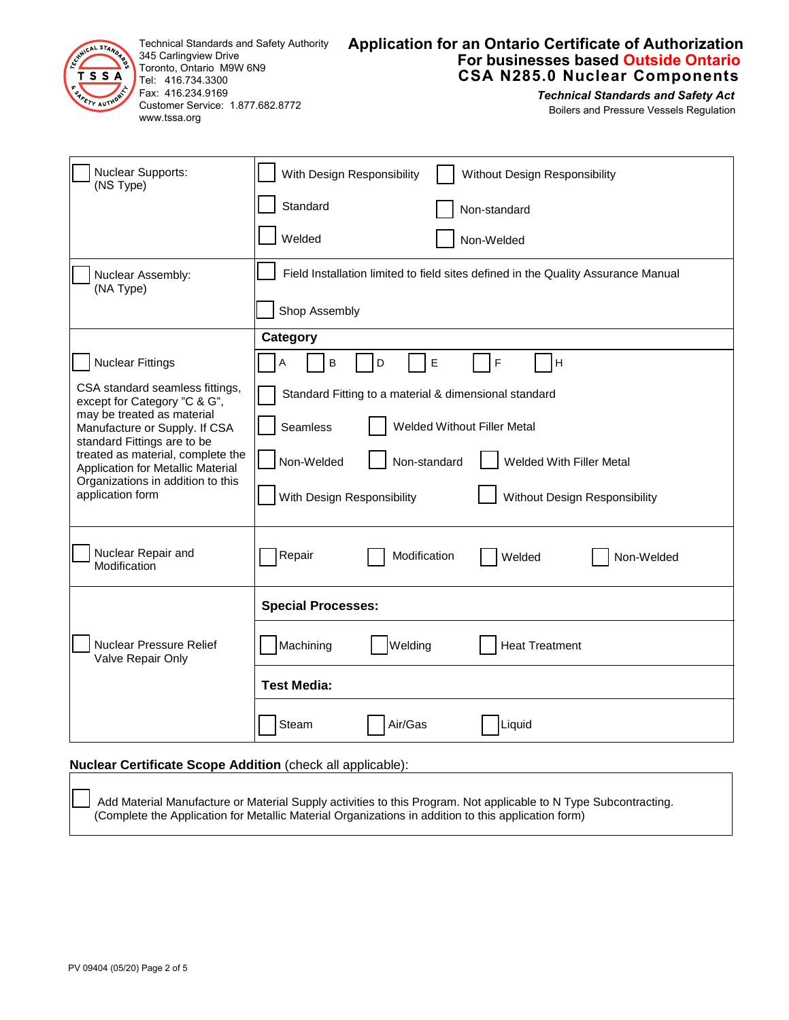

Technical Standards and Safety Authority 345 Carlingview Drive Toronto, Ontario M9W 6N9 Tel: 416.734.3300 Fax: 416.234.9169 Customer Service: 1.877.682.8772 www.tssa.org

# **Application for an Ontario Certificate of Authorization For businesses based Outside Ontario CSA N285.0 Nuclear Components**

*Technical Standards and Safety Act* Boilers and Pressure Vessels Regulation

| <b>Nuclear Supports:</b><br>(NS Type)                                                                                                                                                                                                                                                            | With Design Responsibility<br>Without Design Responsibility                       |  |
|--------------------------------------------------------------------------------------------------------------------------------------------------------------------------------------------------------------------------------------------------------------------------------------------------|-----------------------------------------------------------------------------------|--|
|                                                                                                                                                                                                                                                                                                  | Standard<br>Non-standard                                                          |  |
|                                                                                                                                                                                                                                                                                                  | Welded<br>Non-Welded                                                              |  |
| Nuclear Assembly:<br>(NA Type)                                                                                                                                                                                                                                                                   | Field Installation limited to field sites defined in the Quality Assurance Manual |  |
|                                                                                                                                                                                                                                                                                                  | Shop Assembly                                                                     |  |
|                                                                                                                                                                                                                                                                                                  | Category                                                                          |  |
| <b>Nuclear Fittings</b>                                                                                                                                                                                                                                                                          | A<br>B<br>D<br>Е<br>F<br>H                                                        |  |
| CSA standard seamless fittings,<br>except for Category "C & G",<br>may be treated as material<br>Manufacture or Supply. If CSA<br>standard Fittings are to be<br>treated as material, complete the<br>Application for Metallic Material<br>Organizations in addition to this<br>application form | Standard Fitting to a material & dimensional standard                             |  |
|                                                                                                                                                                                                                                                                                                  | Seamless<br><b>Welded Without Filler Metal</b>                                    |  |
|                                                                                                                                                                                                                                                                                                  | Non-Welded<br>Non-standard<br>Welded With Filler Metal                            |  |
|                                                                                                                                                                                                                                                                                                  | With Design Responsibility<br>Without Design Responsibility                       |  |
| Nuclear Repair and<br>Modification                                                                                                                                                                                                                                                               | Repair<br>Modification<br>Welded<br>Non-Welded                                    |  |
|                                                                                                                                                                                                                                                                                                  | <b>Special Processes:</b>                                                         |  |
| Nuclear Pressure Relief<br>Valve Repair Only                                                                                                                                                                                                                                                     | Machining<br>Welding<br><b>Heat Treatment</b>                                     |  |
|                                                                                                                                                                                                                                                                                                  | <b>Test Media:</b>                                                                |  |
|                                                                                                                                                                                                                                                                                                  | Steam<br>Air/Gas<br>Liquid                                                        |  |
|                                                                                                                                                                                                                                                                                                  |                                                                                   |  |

# **Nuclear Certificate Scope Addition** (check all applicable):

Add Material Manufacture or Material Supply activities to this Program. Not applicable to N Type Subcontracting. (Complete the Application for Metallic Material Organizations in addition to this application form)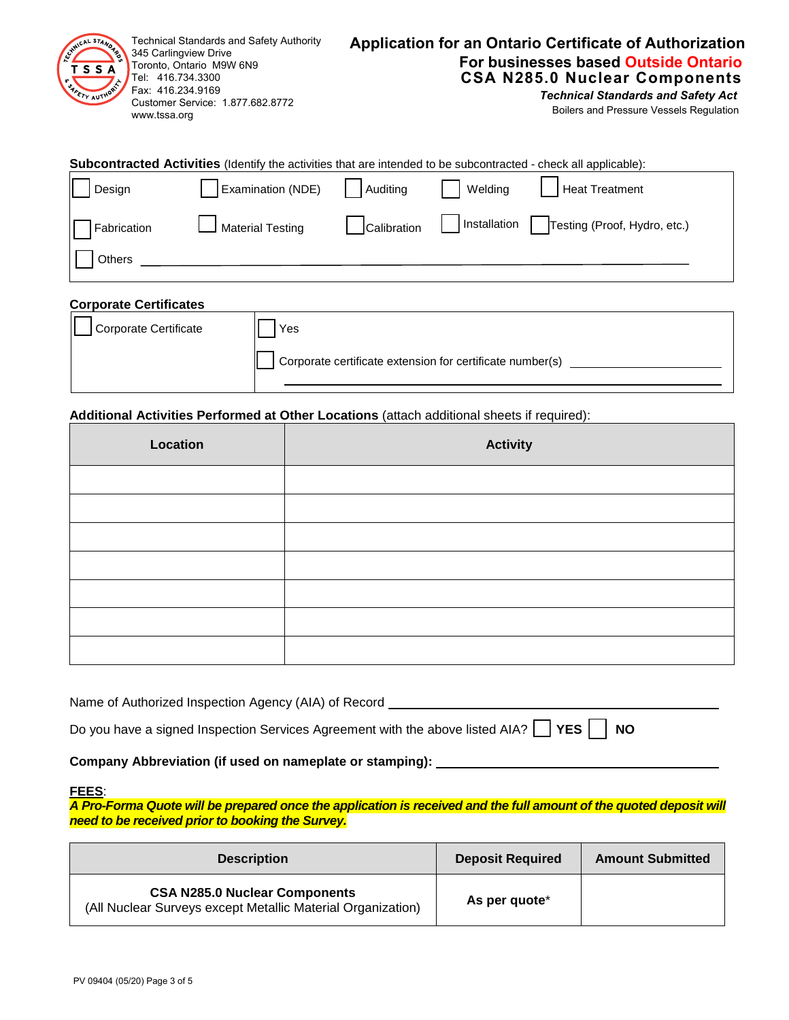| <b>Technical Standards and Safety Authority</b><br>Technical Standards and Technical Standards and 345 Carlingview Drive<br>Toronto, Ontario M9W 6N9<br>TSSA<br>$\int$ Tel: 416.734.3300<br><b>SANETY AUTHOR</b><br>Fax: 416.234.9169<br>Customer Service: 1.877.682.8772<br>www.tssa.org | <b>Application for an Ontario Certificate of Authorization</b><br>For businesses based Outside Ontario<br><b>CSA N285.0 Nuclear Components</b><br><b>Technical Standards and Safety Act</b><br>Boilers and Pressure Vessels Regulation |
|-------------------------------------------------------------------------------------------------------------------------------------------------------------------------------------------------------------------------------------------------------------------------------------------|----------------------------------------------------------------------------------------------------------------------------------------------------------------------------------------------------------------------------------------|
|-------------------------------------------------------------------------------------------------------------------------------------------------------------------------------------------------------------------------------------------------------------------------------------------|----------------------------------------------------------------------------------------------------------------------------------------------------------------------------------------------------------------------------------------|

|             | <b>Subcontracted Activities</b> (Identify the activities that are intended to be subcontracted - check all applicable): |             |         |                                             |
|-------------|-------------------------------------------------------------------------------------------------------------------------|-------------|---------|---------------------------------------------|
| Design      | Examination (NDE)                                                                                                       | Auditing    | Welding | Heat Treatment                              |
| Fabrication | Material Testing                                                                                                        | Calibration |         | Installation   Testing (Proof, Hydro, etc.) |
| Others      |                                                                                                                         |             |         |                                             |

| <b>Corporate Certificates</b> |                                                                  |
|-------------------------------|------------------------------------------------------------------|
| Corporate Certificate         | Yes<br>Corporate certificate extension for certificate number(s) |

## **Additional Activities Performed at Other Locations** (attach additional sheets if required):

| Location | <b>Activity</b> |
|----------|-----------------|
|          |                 |
|          |                 |
|          |                 |
|          |                 |
|          |                 |
|          |                 |
|          |                 |

| Name of Authorized Inspection Agency (AIA) of Record                                               |
|----------------------------------------------------------------------------------------------------|
| Do you have a signed Inspection Services Agreement with the above listed AIA? $\Box$ YES $\Box$ NO |

# **Company Abbreviation (if used on nameplate or stamping):**

### **FEES**:

*A Pro-Forma Quote will be prepared once the application is received and the full amount of the quoted deposit will need to be received prior to booking the Survey.*

| <b>Description</b>                                                                                  | <b>Deposit Required</b>   | <b>Amount Submitted</b> |
|-----------------------------------------------------------------------------------------------------|---------------------------|-------------------------|
| <b>CSA N285.0 Nuclear Components</b><br>(All Nuclear Surveys except Metallic Material Organization) | As per quote <sup>*</sup> |                         |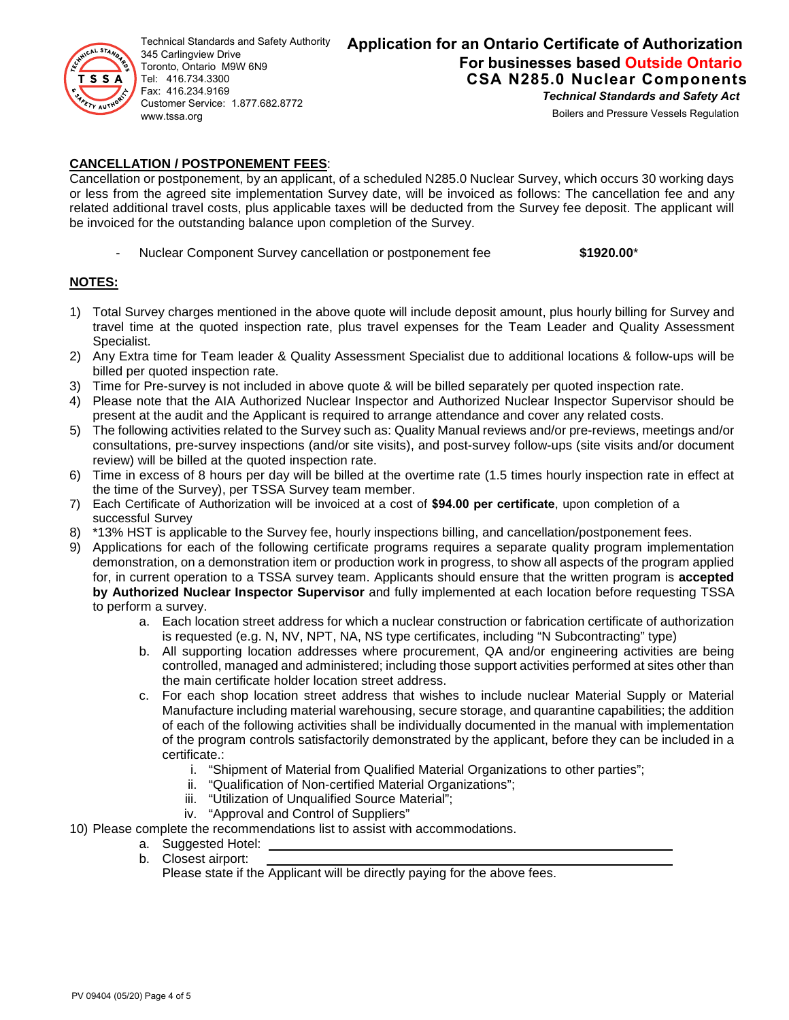

Technical Standards and Safety Authority 345 Carlingview Drive Toronto, Ontario M9W 6N9 Tel: 416.734.3300 Fax: 416.234.9169 Customer Service: 1.877.682.8772 www.tssa.org

# **Application for an Ontario Certificate of Authorization For businesses based Outside Ontario CSA N285.0 Nuclear Components** *Technical Standards and Safety Act*

Boilers and Pressure Vessels Regulation

# **CANCELLATION / POSTPONEMENT FEES**:

Cancellation or postponement, by an applicant, of a scheduled N285.0 Nuclear Survey, which occurs 30 working days or less from the agreed site implementation Survey date, will be invoiced as follows: The cancellation fee and any related additional travel costs, plus applicable taxes will be deducted from the Survey fee deposit. The applicant will be invoiced for the outstanding balance upon completion of the Survey.

- Nuclear Component Survey cancellation or postponement fee **\$1920.00**\*

## **NOTES:**

- 1) Total Survey charges mentioned in the above quote will include deposit amount, plus hourly billing for Survey and travel time at the quoted inspection rate, plus travel expenses for the Team Leader and Quality Assessment Specialist.
- 2) Any Extra time for Team leader & Quality Assessment Specialist due to additional locations & follow-ups will be billed per quoted inspection rate.
- 3) Time for Pre-survey is not included in above quote & will be billed separately per quoted inspection rate.
- 4) Please note that the AIA Authorized Nuclear Inspector and Authorized Nuclear Inspector Supervisor should be present at the audit and the Applicant is required to arrange attendance and cover any related costs.
- 5) The following activities related to the Survey such as: Quality Manual reviews and/or pre-reviews, meetings and/or consultations, pre-survey inspections (and/or site visits), and post-survey follow-ups (site visits and/or document review) will be billed at the quoted inspection rate.
- 6) Time in excess of 8 hours per day will be billed at the overtime rate (1.5 times hourly inspection rate in effect at the time of the Survey), per TSSA Survey team member.
- 7) Each Certificate of Authorization will be invoiced at a cost of **\$94.00 per certificate**, upon completion of a successful Survey
- 8) \*13% HST is applicable to the Survey fee, hourly inspections billing, and cancellation/postponement fees.
- 9) Applications for each of the following certificate programs requires a separate quality program implementation demonstration, on a demonstration item or production work in progress, to show all aspects of the program applied for, in current operation to a TSSA survey team. Applicants should ensure that the written program is **accepted by Authorized Nuclear Inspector Supervisor** and fully implemented at each location before requesting TSSA to perform a survey.
	- a. Each location street address for which a nuclear construction or fabrication certificate of authorization is requested (e.g. N, NV, NPT, NA, NS type certificates, including "N Subcontracting" type)
	- b. All supporting location addresses where procurement, QA and/or engineering activities are being controlled, managed and administered; including those support activities performed at sites other than the main certificate holder location street address.
	- c. For each shop location street address that wishes to include nuclear Material Supply or Material Manufacture including material warehousing, secure storage, and quarantine capabilities; the addition of each of the following activities shall be individually documented in the manual with implementation of the program controls satisfactorily demonstrated by the applicant, before they can be included in a certificate.:
		- i. "Shipment of Material from Qualified Material Organizations to other parties";
		- ii. "Qualification of Non-certified Material Organizations";
		- iii. "Utilization of Unqualified Source Material";
		- iv. "Approval and Control of Suppliers"
- 10) Please complete the recommendations list to assist with accommodations.
	- a. Suggested Hotel:
	- b. Closest airport:

Please state if the Applicant will be directly paying for the above fees.